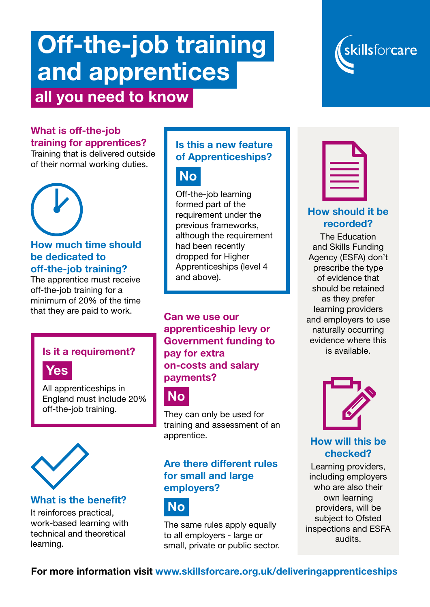# Off-the-job training and apprentices all you need to know



#### What is off-the-job training for apprentices?

Training that is delivered outside of their normal working duties.

#### How much time should be dedicated to off-the-job training?

The apprentice must receive off-the-job training for a minimum of 20% of the time that they are paid to work.

### Is it a requirement?



All apprenticeships in England must include 20% off-the-job training.



#### What is the benefit?

It reinforces practical, work-based learning with technical and theoretical learning.

#### Is this a new feature of Apprenticeships?



Off-the-job learning formed part of the requirement under the previous frameworks, although the requirement had been recently dropped for Higher Apprenticeships (level 4 and above).

Can we use our apprenticeship levy or Government funding to pay for extra on-costs and salary payments?



They can only be used for training and assessment of an apprentice.

#### Are there different rules for small and large employers?



The same rules apply equally to all employers - large or small, private or public sector.

#### How should it be recorded?

The Education and Skills Funding Agency (ESFA) don't prescribe the type of evidence that should be retained as they prefer learning providers and employers to use naturally occurring evidence where this is available.



#### How will this be checked?

Learning providers, including employers who are also their own learning providers, will be subject to Ofsted inspections and ESFA audits.